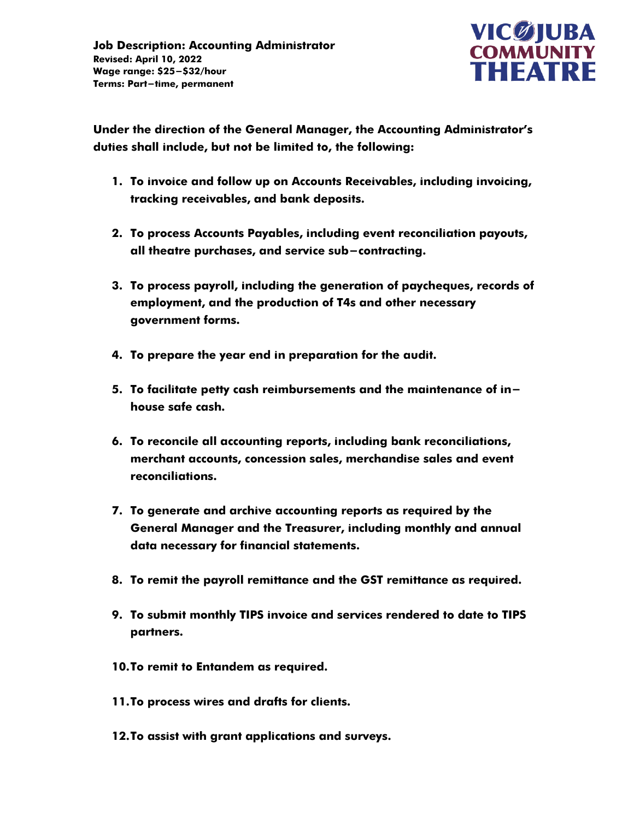

**Under the direction of the General Manager, the Accounting Administrator's duties shall include, but not be limited to, the following:**

- **1. To invoice and follow up on Accounts Receivables, including invoicing, tracking receivables, and bank deposits.**
- **2. To process Accounts Payables, including event reconciliation payouts, all theatre purchases, and service sub-contracting.**
- **3. To process payroll, including the generation of paycheques, records of employment, and the production of T4s and other necessary government forms.**
- **4. To prepare the year end in preparation for the audit.**
- **5. To facilitate petty cash reimbursements and the maintenance of inhouse safe cash.**
- **6. To reconcile all accounting reports, including bank reconciliations, merchant accounts, concession sales, merchandise sales and event reconciliations.**
- **7. To generate and archive accounting reports as required by the General Manager and the Treasurer, including monthly and annual data necessary for financial statements.**
- **8. To remit the payroll remittance and the GST remittance as required.**
- **9. To submit monthly TIPS invoice and services rendered to date to TIPS partners.**
- **10.To remit to Entandem as required.**
- **11.To process wires and drafts for clients.**
- **12.To assist with grant applications and surveys.**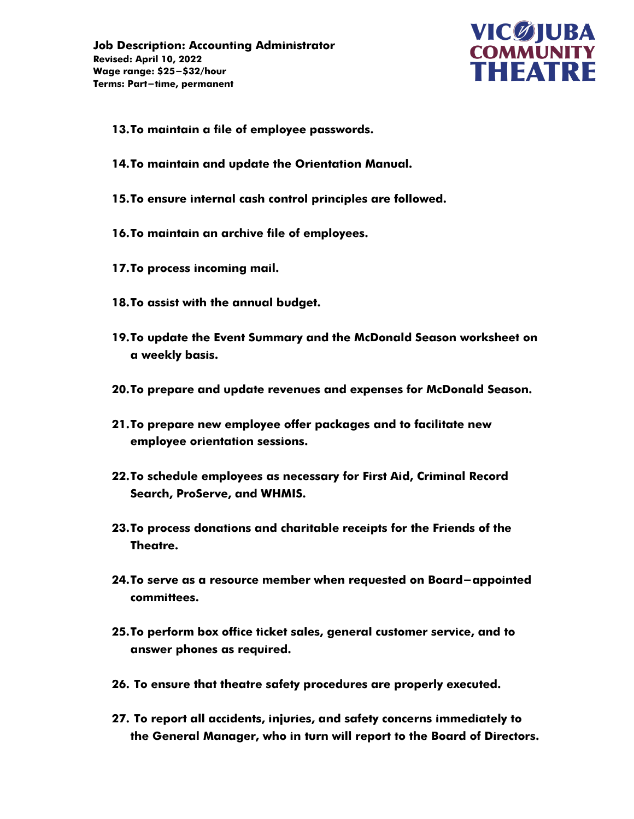

- **13.To maintain a file of employee passwords.**
- **14.To maintain and update the Orientation Manual.**
- **15.To ensure internal cash control principles are followed.**
- **16.To maintain an archive file of employees.**
- **17.To process incoming mail.**
- **18.To assist with the annual budget.**
- **19.To update the Event Summary and the McDonald Season worksheet on a weekly basis.**
- **20.To prepare and update revenues and expenses for McDonald Season.**
- **21.To prepare new employee offer packages and to facilitate new employee orientation sessions.**
- **22.To schedule employees as necessary for First Aid, Criminal Record Search, ProServe, and WHMIS.**
- **23.To process donations and charitable receipts for the Friends of the Theatre.**
- **24.To serve as a resource member when requested on Board-appointed committees.**
- **25.To perform box office ticket sales, general customer service, and to answer phones as required.**
- **26. To ensure that theatre safety procedures are properly executed.**
- **27. To report all accidents, injuries, and safety concerns immediately to the General Manager, who in turn will report to the Board of Directors.**